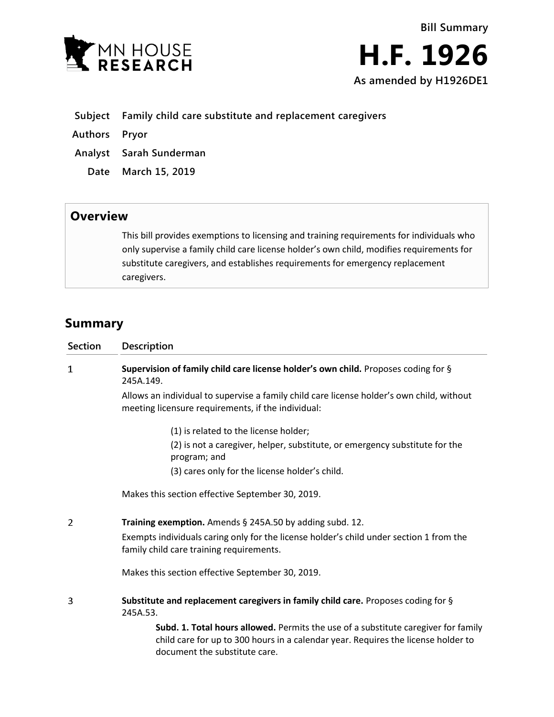

- **Subject Family child care substitute and replacement caregivers**
- **Authors Pryor**
- **Analyst Sarah Sunderman**
	- **Date March 15, 2019**

## **Overview**

This bill provides exemptions to licensing and training requirements for individuals who only supervise a family child care license holder's own child, modifies requirements for substitute caregivers, and establishes requirements for emergency replacement caregivers.

## **Summary**

| <b>Section</b> | Description                                                                                                                                                                                              |
|----------------|----------------------------------------------------------------------------------------------------------------------------------------------------------------------------------------------------------|
| 1              | Supervision of family child care license holder's own child. Proposes coding for §<br>245A.149.                                                                                                          |
|                | Allows an individual to supervise a family child care license holder's own child, without<br>meeting licensure requirements, if the individual:                                                          |
|                | (1) is related to the license holder;                                                                                                                                                                    |
|                | (2) is not a caregiver, helper, substitute, or emergency substitute for the<br>program; and                                                                                                              |
|                | (3) cares only for the license holder's child.                                                                                                                                                           |
|                | Makes this section effective September 30, 2019.                                                                                                                                                         |
| 2              | Training exemption. Amends § 245A.50 by adding subd. 12.                                                                                                                                                 |
|                | Exempts individuals caring only for the license holder's child under section 1 from the<br>family child care training requirements.                                                                      |
|                | Makes this section effective September 30, 2019.                                                                                                                                                         |
| 3              | Substitute and replacement caregivers in family child care. Proposes coding for §<br>245A.53.                                                                                                            |
|                | Subd. 1. Total hours allowed. Permits the use of a substitute caregiver for family<br>child care for up to 300 hours in a calendar year. Requires the license holder to<br>document the substitute care. |